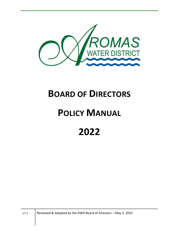

# **BOARD OF DIRECTORS**

# **POLICY MANUAL**

# **2022**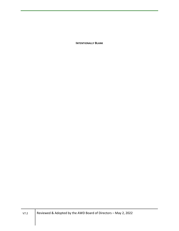**INTENTIONALLY BLANK**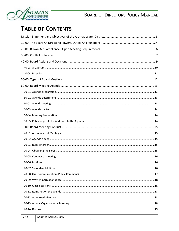

## **TABLE OF CONTENTS**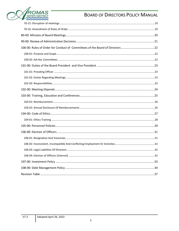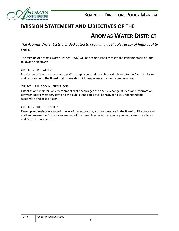

## <span id="page-4-0"></span>**MISSION STATEMENT AND OBJECTIVES OF THE**

## **AROMAS WATER DISTRICT**

*The Aromas Water District is dedicated to providing a reliable supply of high-quality water.*

The mission of Aromas Water District (AWD) will be accomplished through the implementation of the following objectives:

#### OBJECTIVE I: STAFFING

Provide an efficient and adequate staff of employees and consultants dedicated to the District mission and responsive to the Board that is provided with proper resources and compensation.

#### OBJECTIVE II: COMMUNICATIONS

Establish and maintain an environment that encourages the open exchange of ideas and information between Board member, staff and the public that is positive, honest, concise, understandable, responsive and cost-efficient.

#### OBJECTIVE III: EDUCATION

Develop and maintain a superior level of understanding and competence in the Board of Directors and staff and assure the District's awareness of the benefits of safe operations, proper claims procedures and District operations.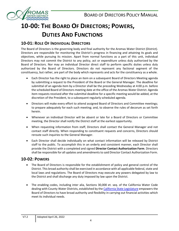

## <span id="page-5-0"></span>**10-00: THE BOARD OF DIRECTORS; POWERS, DUTIES AND FUNCTIONS**

#### **10-01: ROLE OF INDIVIDUAL DIRECTORS**

The Board of Directors is the governing body and final authority for the Aromas Water District (District). Directors are responsible for monitoring the District's progress in financing and attaining its goals and objectives, while pursuing its mission. Apart from normal functions as a part of this unit, individual Directors may not commit the District to any policy, act or expenditure unless duly authorized by the Board of Directors. Nor may an individual Director direct staff to perform specific duties unless duly authorized by the Board of Directors. Directors do not represent any factional segment of the constituency, but rather, are part of the body which represents and acts for the constituency as a whole.

- Each Director has the right to place an item on a subsequent Board of Directors Meeting agenda by submitting a request to the President of the Board or the General Manager. The deadline for submittal of an agenda item by a Director shall be the preceding Wednesday at 4:00 p.m. before the scheduled Board of Directors meeting date at the office of the Aromas Water District. Agenda item requests received after the submittal deadline for a specific meeting would be added, at the discretion of the President, to a subsequent regularly scheduled agenda.
- Directors will make every effort to attend assigned Board of Directors and Committee meetings; to prepare adequately for each such meeting; and, to observe the rules of decorum as set forth herein.
- Whenever an individual Director will be absent or late for a Board of Directors or Committee meeting, the Director shall notify the District staff at the earliest opportunity.
- When requesting information from staff, Directors shall contact the General Manager and not contact staff directly. When responding to constituent requests and concerns, Directors should reroute such inquiries to the General Manager.
- Each Director shall decide individually on what contact information will be released by District staff to the public. To accomplish this in an orderly and consistent manner, each Director shall provide the District with a completed and signed **Director Contact Authorization Form**. Directors shall be responsible for all updates and amendments to said Director Contact Authorization Form.

#### **10-02: POWERS**

- The Board of Directors is responsible for the establishment of policy and general control of the District. This broad authority shall be exercised in accordance with all applicable federal, state and local laws and regulations. The Board of Directors may execute any powers delegated by law to the District and shall discharge any duty imposed by law upon the District.
- The enabling codes, including inter alia, Sections 30,000 et. seq. of the California Water Code dealing with County Water Districts, established by the [California State Legislature](https://leginfo.legislature.ca.gov/faces/codes_displayexpandedbranch.xhtml?tocCode=WAT&division=12.&title=&part=&chapter=&article=) empowers the Board of Directors to have broad authority and flexibility in carrying out financial activities which meet its individual needs.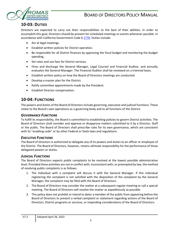

#### **10-03: DUTIES**

Directors are expected to carry out their responsibilities to the best of their abilities. In order to accomplish this goal, Directors should be present for scheduled meetings or events whenever possible. In accordance with California Government Code § [1770.](https://leginfo.legislature.ca.gov/faces/codes_displaySection.xhtml?lawCode=GOV§ionNum=1770) Duties include:

- Act at legal meetings.
- Establish written policies for District operation.
- Be responsible for all District finances by approving the fiscal budget and monitoring the budget spending.
- Set rates and use fees for District services.
- Hires and discharge the General Manager, Legal Counsel and Financial Auditor, and annually evaluates the General Manager. The Financial Auditor shall be reviewed on a triennial basis.
- Establish written policy on how the Board of Directors meetings are conducted.
- Develop a master plan for the District.
- Ratify committee appointments made by the President.
- Establish Director compensation.

#### **10-04: FUNCTIONS**

The powers and duties of the Board of Directors include governing, executive and judicial functions. These relate to the Board's own operations as a governing body and to all functions of the District.

#### *GOVERNANCE FUNCTIONS*

To fulfill its responsibility, the Board is committed to establishing policies to govern District activities. The Board of Directors shall consider and approve or disapprove matters submitted to it by a Director, Staff or the public. The Board of Directors shall prescribe rules for its own governance, which are consistent with its "enabling code" or by other Federal or State laws and regulations.

#### *EXECUTIVE FUNCTIONS*

The Board of Directors is authorized to delegate any of its powers and duties to an officer or employee of the District. The Board of Directors, however, retains ultimate responsibility for the performance of those delegated powers or duties.

#### *JUDICIAL FUNCTIONS*

The Board of Directors expects public complaints to be resolved at the lowest possible administrative level. Provided these activities are not in conflict with, inconsistent with, or preempted by law, the method of resolving public complaints is as follows:

- 1. The individual with a complaint will discuss it with the General Manager. If this individual registering the complaint is not satisfied with the disposition of the complaint by the General Manager, the complaint may be filed with the Board of Directors.
- 2. The Board of Directors may consider the matter at a subsequent regular meeting or call a special meeting. The Board of Directors will resolve the matter as expeditiously as possible.
- 3. This policy does not prohibit or intend to deter a member of the public from appearing before the Board of Directors to present a verbal complaint or statement regarding actions of the Board of Directors, District programs or services, or impending considerations of the Board of Directors.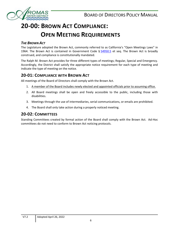

## <span id="page-7-0"></span>**20-00: BROWN ACT COMPLIANCE: OPEN MEETING REQUIREMENTS**

#### *THE BROWN ACT*

The Legislature adopted the Brown Act, commonly referred to as California's "Open Meetings Laws" in 1964. The Brown Act is contained in Government Code  $\S$  [54950.5](http://leginfo.legislature.ca.gov/faces/codes_displaySection.xhtml?sectionNum=54950.5.&lawCode=GOV) et seq. The Brown Act is broadly construed, and compliance is constitutionally mandated.

The Ralph M. Brown Act provides for three different types of meetings; Regular, Special and Emergency. Accordingly, the District shall satisfy the appropriate notice requirement for each type of meeting and indicate the type of meeting on the notice.

#### **20-01: COMPLIANCE WITH BROWN ACT**

All meetings of the Board of Directors shall comply with the Brown Act.

- 1. A member of the Board includes newly elected and appointed officials prior to assuming office.
- 2. All Board meetings shall be open and freely accessible to the public, including those with disabilities.
- 3. Meetings through the use of intermediaries, serial communications, or emails are prohibited.
- 4. The Board shall only take action during a properly noticed meeting.

#### **20-02: COMMITTEES**

Standing Committees created by formal action of the Board shall comply with the Brown Act. Ad-Hoc committees do not need to conform to Brown Act noticing protocols.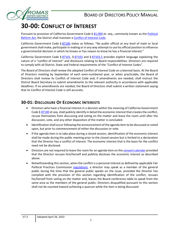

## <span id="page-8-0"></span>**30-00: CONFLICT OF INTEREST**

Pursuant to provision of California Government Code § [81,000](https://leginfo.legislature.ca.gov/faces/codes_displayText.xhtml?chapter=1.&lawCode=GOV&title=9.) et. seq., commonly known as the [Political](http://www.fppc.ca.gov/content/dam/fppc/NS-Documents/LegalDiv/The%20Political%20Reform%20Act/2019_Act_Highlighted_Final_012419.pdf)  [Reform Act,](http://www.fppc.ca.gov/content/dam/fppc/NS-Documents/LegalDiv/The%20Political%20Reform%20Act/2019_Act_Highlighted_Final_012419.pdf) the District shall maintain a [Conflict of Interest Code.](https://www.aromaswaterdistrict.org/files/f43f4faca/8a.+2016-2018+Conflict+of+Interest+Code.pdf)

California Government Code § [87100](https://leginfo.legislature.ca.gov/faces/codes_displaySection.xhtml?lawCode=GOV§ionNum=87100.) states as follows: "No public official at any level of state or local government shall make, participate in making or in any way attempt to use his official position to influence a governmental decision in which he knows or has reason to know he has a financial interest."

California Government Code § [87101,](https://leginfo.legislature.ca.gov/faces/codes_displaySection.xhtml?lawCode=GOV§ionNum=87101.) § [87103](https://leginfo.legislature.ca.gov/faces/codes_displaySection.xhtml?lawCode=GOV§ionNum=87103.) and § [87103.5](https://leginfo.legislature.ca.gov/faces/codes_displaySection.xhtml?lawCode=GOV§ionNum=87103.5.) provides explicit language explaining the nature of a "conflict of interest" and disclosure relating to Board responsibilities. Directors are required to comply with all District, State and Federal requirements of the "Conflict of Interest Codes".

The Board of Directors shall review the adopted Conflict of Interest Code on a biennial basis. At the Board of Directors meeting by September of each even-numbered year, or when practicable, the Board of Directors shall review its Conflict of Interest Code and, if amendments are needed, shall instruct the District Board Secretary to submit amendments to the relevant authority in accordance with applicable deadlines. If no amendments are needed, the Board of Directors shall submit a written statement saying that its Conflict of Interest Code is still accurate.

#### **30-01: DISCLOSURE OF ECONOMIC INTERESTS**

- Directors who have a financial interest in a decision within the meaning of California Government Code § [87100](https://leginfo.legislature.ca.gov/faces/codes_displayText.xhtml?chapter=7.&lawCode=GOV&title=9.&article=1.) et seq. shall publicly identify in detail the economic interest that creates the conflict, recuse themselves from discussing and voting on the matter and leave the room until after the discussion, vote, and any other disposition of the matter is concluded.
- Identification shall occur following the announcement of the agenda item to be discussed or voted upon, but prior to commencement of either the discussion or vote.
- If the agenda item is to take place during a closed session, identification of the economic interest shall be made during the public meeting prior to the closed session but is limited to a declaration that the Director has a conflict of interest. The economic interest that is the basis for the conflict need not be disclosed.
- Directors are not required to leave the room for an agenda item on th[e consent calendar](https://www.wwcc.edu/CMS/fileadmin/PDF/Learning_Center/Consent_Agenda_FAQ.pdf) provided that the Director recuses him/herself and publicly discloses the economic interest as described above.
- Notwithstanding this section, when the conflict is a personal interest as defined by applicable Fair Political Practices Commission [regulations,](http://www.fppc.ca.gov/learn/conflicts-of-interest-rules.html) a director may speak as a member of the general public during the time that the general public speaks on the issue, provided the Director has complied with the provision of this section regarding identification of the conflict, recuses his/herself from voting on the matter and, leaves the Board conference table to speak from the same area as the members of the general public. Directors disqualified pursuant to this section shall not be counted toward achieving a quorum while the item is being discussed.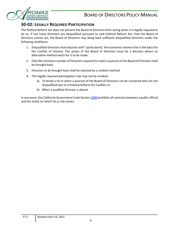



#### **30-02: LEGALLY REQUIRED PARTICIPATION**

The Political Reform Act does not prevent the Board of Directors from acting when it is legally required to do so. If too many Directors are disqualified pursuant to said Political Reform Act, that the Board of Directors cannot act, the Board of Directors may bring back sufficient disqualified Directors under the following conditions:

- 1. Disqualified Directors must disclose with "particularity" the economic interest that is the basis for the Conflict of Interest. The action of the Board of Directors must be a decision where no alternative method exists for it to be made.
- 2. Only the minimum number of Directors required to make a quorum of the Board of Directors shall be brought back.
- 3. Directors to be brought back shall be selected by a random method.
- 4. This legally required participation rule may not be invoked:
	- a) To break a tie or when a quorum of the Board of Directors can be convened who are not disqualified due to a Political Reform Act Conflict; or
	- b) When a qualified Director is absent.

In any event, the California Government Code Sectio[n 1090](https://leginfo.legislature.ca.gov/faces/codes_displaySection.xhtml?lawCode=GOV§ionNum=1090) prohibits all contracts between a public official and the entity on which he or she serves.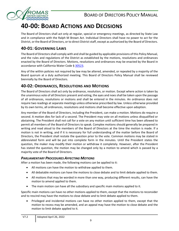

## <span id="page-10-0"></span>**40-00: BOARD ACTIONS AND DECISIONS**

The Board of Directors shall act only at regular, special or emergency meetings, as directed by State Law and in compliance with the Ralph M Brown Act. Individual Directors shall have no power to act for the District, or the Board of Directors, or to direct District staff, except as authorized by the Board of Directors.

#### **40-01: GOVERNING LAWS**

The Board of Directors shall comply with and shall be guided by applicable provisions of this Policy Manual, and the rules and regulations of the District as established by the motions, resolutions and ordinances enacted by the Board of Directors. Motions, resolutions and ordinances may be enacted by the Board in accordance with California Water Code § [30523.](https://leginfo.legislature.ca.gov/faces/codes_displaySection.xhtml?sectionNum=30523.&lawCode=WAT)

Any of the within policies not required by law may be altered, amended, or repealed by a majority of the Board quorum at a duly authorized meeting. This Board of Directors Policy Manual shall be reviewed biennially by the Board of Directors.

#### **40-02: ORDINANCES, RESOLUTIONS AND MOTIONS**

The Board of Directors shall act only by ordinance, resolution, or motion. Except where action is taken by the unanimous vote of all Directors present and voting, the ayes and noes shall be taken upon the passage of all ordinances, resolutions or motions and shall be entered in the minutes. An ordinance does not require two readings at separate meetings unless otherwise prescribed by law. Unless otherwise provided by its own terms, all ordinances, resolutions and motions shall become effective upon adoption.

Any member of the Board of Directors, including the President, can make a motion. Motions do require a second. A motion dies for lack of a second. The President may vote on all motions unless disqualified or abstaining. The President shall not call for a vote on any motion until sufficient time has been allowed to permit all members of the Board of Directors to speak. Complex motions should generally be prepared in writing and read aloud to the members of the Board of Directors at the time the motion is made. If a motion is not in writing, and if it is necessary for full understanding of the matter before the Board of Directors, the President shall restate the question prior to the vote. Common motions may be stated in abbreviated form and will be put into complete form in the minutes. Until the President states the question, the maker may modify their motion or withdraw it completely. However, after the President has stated the question, the motion may be changed only by a motion to amend which is passed by a majority vote of the Board of Directors.

#### *PARLIAMENTARY PROCEDURES AFFECTING MOTIONS*

After a motion has been made, the following motions can be applied to it:

- All motions can have the motion to withdraw applied to them.
- All debatable motions can have the motions to close debate and to limit debate applied to them.
- All motions that may be worded in more than one way, producing different results, can have the motion to amend applied to them.
- The main motion can have all the subsidiary and specific main motions applied to it.

Specific main motions can have no other motions applied to them, except that the motions to reconsider and to rescind may have the motions to close debate and to limit debate applied to them.

• Privileged and incidental motions can have no other motion applied to them, except that the motion to recess may be amended, and an appeal may have the motion to close debate and the motion to limit debate applied to it.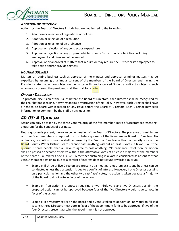

#### *ADOPTION OR REJECTION*

Actions by the Board of Directors include but are not limited to the following:

- 1. Adoption or rejection of regulations or policies
- 2. Adoption or rejection of a resolution
- 3. Adoption or rejection of an ordinance
- 4. Approval or rejection of any contract or expenditure
- 5. Approval or rejection of any proposal which commits District funds or facilities, including employment and dismissal of personnel
- 6. Approval or disapproval of matters that require or may require the District or its employees to take action and/or provide services

#### *ROUTINE BUSINESS*

Matters of routine business such as approval of the minutes and approval of minor matters may be expedited by assuming unanimous consent of the members of the Board of Directors and having the President state that without objection the matter will stand approved. Should any director object to such unanimous consent, the president shall then call for a vote.

#### *ORDERLY DISCUSSION*

To promote discussion of the issues before the Board of Directors, each Director shall be recognized by the chair before speaking. Notwithstanding any provision of this Policy, however, each Director shall have a right to be heard within reason on any issue before the Board of Directors. Each Director may seek information or comment by the staff on any question.

## <span id="page-11-0"></span>*40-03: A QUORUM*

Action can only be taken by the three-vote majority of the five-member Board of Directors representing a quorum for the conduct of business.

Until a quorum is present, there can be no meeting of the Board of Directors. The presence of a minimum of three Board members is required to constitute a quorum of the five-member Board of Directors. No ordinance, resolution or motion shall be passed by the Board of Directors without a majority vote of the Board. County Water District Boards cannot pass anything without at least 3 votes in favor. So, if the quorum is three people, then all have to agree to pass anything. "No ordinance, resolution, or motion shall be passed or become effective without the affirmative votes of at least a majority of the members of the board." Cal. Water Code § 30525. A member abstaining in a vote is considered as absent for that vote. A member abstaining due to a conflict of interest does not count towards a quorum.

- Example. If three of five Directors are present at a meeting, a quorum exists and business can be conducted unless the abstention is due to a conflict of interest. However, if one Director abstains on a particular action and the other two cast "aye" votes, no action is taken because a "majority of the Board" did not vote in favor of the action.
- Example. If an action is proposed requiring a two-thirds vote and two Directors abstain, the proposed action cannot be approved because four of the five Directors would have to vote in favor of the action.
- Example. If a vacancy exists on the Board and a vote is taken to appoint an individual to fill said vacancy, three Directors must vote in favor of the appointment for it to be approved. If two of the four Directors present abstain, the appointment is not approved.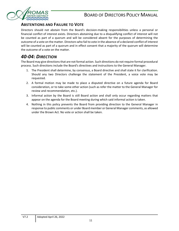

#### **ABSTENTIONS AND FAILURE TO VOTE**

Directors should not abstain from the Board's decision-making responsibilities unless a personal or financial conflict of interest exists. Directors abstaining due to a disqualifying conflict of interest will not be counted as part of a quorum and will be considered absent for the purposes of determining the outcome of a vote on the matter. Directors who fail to vote in the absence of a declared conflict of interest will be counted as part of a quorum and in effect consent that a majority of the quorum will determine the outcome of a vote on the matter.

#### <span id="page-12-0"></span>*40-04: DIRECTION*

The Board may give directions that are not formal action. Such directions do not require formal procedural process. Such directions include the Board's directives and instructions to the General Manager.

- 1. The President shall determine, by consensus, a Board directive and shall state it for clarification. Should any two Directors challenge the statement of the President, a voice vote may be requested.
- 2. A formal motion may be made to place a disputed directive on a future agenda for Board consideration, or to take some other action (such as refer the matter to the General Manager for review and recommendation, etc.).
- 3. Informal action by the Board is still Board action and shall only occur regarding matters that appear on the agenda for the Board meeting during which said informal action is taken.
- 4. Nothing in this policy prevents the Board from providing direction to the General Manager in response to public comments or under Board member or General Manager comments, as allowed under the Brown Act. No vote or action shall be taken.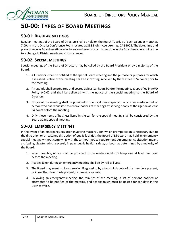

## <span id="page-13-0"></span>**50-00: TYPES OF BOARD MEETINGS**

#### **50-01: REGULAR MEETINGS**

Regular meetings of the Board of Directors shall be held on the fourth Tuesday of each calendar month at 7:00pm in the District Conference Room located at 388 Blohm Ave, Aromas, CA 95004. The date, time and place of regular Board meetings may be reconsidered at such other time as the Board may determine due to a change in District needs and circumstances.

#### **50-02: SPECIAL MEETINGS**

Special meetings of the Board of Directors may be called by the Board President or by a majority of the Board.

- 1. All Directors shall be notified of the special Board meeting and the purpose or purposes for which it is called. Notice of the meeting shall be in writing, received by them at least 24 hours prior to the meeting.
- 2. An agenda shall be prepared and posted at least 24 hours before the meeting, as specified in AWD Policy #40-02 and shall be delivered with the notice of the special meeting to the Board of Directors.
- 3. Notice of the meeting shall be provided to the local newspaper and any other media outlet or person who has requested to receive notices of meetings by serving a copy of the agenda at least 24 hours before the meeting.
- 4. Only those items of business listed in the call for the special meeting shall be considered by the Board at any special meeting.

#### **50-03: EMERGENCY MEETINGS**

In the event of an emergency situation involving matters upon which prompt action is necessary due to the disruption or threatened disruption of public facilities, the Board of Directors may hold an emergency special meeting without complying with the 24-hour notice requirement. An emergency situation means a crippling disaster which severely impairs public health, safety, or both, as determined by a majority of the Board.

- 1. When possible, notice shall be provided to the media outlets by telephone at least one hour before the meeting.
- 2. Actions taken during an emergency meeting shall be by roll call vote.
- 3. The Board may meet in closed session if agreed to by a two-thirds vote of the members present, or if less than two thirds present, by unanimous vote.
- 4. Following an emergency meeting, the minutes of the meeting, a list of persons notified or attempted to be notified of the meeting, and actions taken must be posted for ten days in the District office.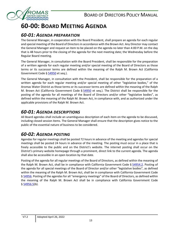

## <span id="page-14-0"></span>**60-00: BOARD MEETING AGENDA**

#### <span id="page-14-1"></span>*60-01: AGENDA PREPARATION*

The General Manager, in cooperation with the Board President, shall prepare an agenda for each regular and special meeting of the Board of Directors in accordance with the Brown Act. Any Director may contact the General Manager and request an item to be placed on the agenda no later than 4:00 P.M. on the day that is 48 hours prior to the closing of the agenda for the next meeting date; the Wednesday before the Regular Board meeting.

The General Manager, in consultation with the Board President, shall be responsible for the preparation of a written agenda for each regular meeting and/or special meeting of the Board of Directors as those terms or its successor terms are defined within the meaning of the Ralph M. Brown Act (California Government Code § [54950](http://leginfo.legislature.ca.gov/faces/codes_displayText.xhtml?division=2.&chapter=9.&part=1.&lawCode=GOV&title=5.) et seq.).

The General Manager, in consultation with the President, shall be responsible for the preparation of a written agenda for each regular meeting and/or special meeting of other "legislative bodies," of the Aromas Water District as those terms or its successor terms are defined within the meaning of the Ralph M. Brown Act (California Government Code § [54950](http://leginfo.legislature.ca.gov/faces/codes_displayText.xhtml?division=2.&chapter=9.&part=1.&lawCode=GOV&title=5.) et seq.). The District shall be responsible for the posting of the agenda for all meetings of the Board of Directors and/or other "legislative bodies", as defined within the meaning of the Ralph M. Brown Act, in compliance with, and as authorized under the applicable provisions of the Ralph M. Brown Act.

#### <span id="page-14-2"></span>*60-01: AGENDA DESCRIPTIONS*

All Board agendas shall include an unambiguous description of each item on the agenda to be discussed, including closed session items. The General Manager shall ensure that the description gives notice to the public of the essential nature of business to be considered.

## <span id="page-14-3"></span>*60-02: AGENDA POSTING*

Agendas for regular meetings shall be posted 72 hours in advance of the meeting and agendas for special meetings shall be posted 24 hours in advance of the meeting. The posting must occur in a place that is freely accessible to the public and on the District's website. The internet posting shall occur on the District's primary website homepage through a prominent, direct link to the current agenda. The agenda shall also be accessible in an open location by that date.

Posting of the agenda for all regular meetings of the Board of Directors, as defined within the meaning of the Ralph M. Brown Act, shall be in compliance with California Government Code § [54954.2.](https://leginfo.legislature.ca.gov/faces/codes_displaySection.xhtml?sectionNum=54954.2.&lawCode=GOV) Posting of the agenda for all special meetings of the Board of Director and/or other "legislative bodies", as defined within the meaning of the Ralph M. Brown Act, shall be in compliance with California Government Code § [54956.](https://leginfo.legislature.ca.gov/faces/codes_displaySection.xhtml?lawCode=GOV§ionNum=54956) Posting of the agendas for all "emergency meetings" of the Board of Directors, as defined within the meaning of the Ralph M. Brown Act shall be in compliance with California Government Code  $§$  [54956.5\(](https://leginfo.legislature.ca.gov/faces/codes_displaySection.xhtml?lawCode=GOV§ionNum=54956.5)b).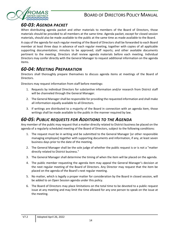

#### <span id="page-15-0"></span>*60-03: AGENDA PACKET*

When distributing agenda packet and other materials to members of the Board of Directors, those materials should be provided to all members at the same time. Agenda packet, except for closed session materials, should also be made available to the public at the same time as made available to the Board.

A copy of the agenda for each regular meeting of the Board of Directors shall be forwarded to each Board member at least three days in advance of each regular meeting, together with copies of all applicable supporting documentation; minutes to be approved; staff reports; and other available documents pertinent to the meeting. Directors shall review agenda materials before each meeting. Individual Directors may confer directly with the General Manager to request additional information on the agenda items.

#### <span id="page-15-1"></span>*60-04: MEETING PREPARATION*

Directors shall thoroughly prepare themselves to discuss agenda items at meetings of the Board of Directors.

Directors may request information from staff before meetings:

- 1. Requests by individual Directors for substantive information and/or research from District staff will be channeled through the General Manager.
- 2. The General Manager shall be responsible for providing the requested information and shall make all information equally available to all Directors.
- 3. If writings are distributed to a majority of the Board in connection with an agenda item, those writings shall be made available to the public in the manner required by law.

#### <span id="page-15-2"></span>*60-05: PUBLIC REQUESTS FOR ADDITIONS TO THE AGENDA*

Any member of the public may request that a matter directly related to District business be placed on the agenda of a regularly scheduled meeting of the Board of Directors, subject to the following conditions:

- 1. The request must be in writing and be submitted to the General Manager [or other responsible managing employee] together with supporting documents and information, if any, at least seven business days prior to the date of the meeting.
- 2. The General Manager shall be the sole judge of whether the public request is or is not a "matter directly related to District business."
- 3. The General Manager shall determine the timing of when the item will be placed on the agenda.
- 4. The public member requesting the agenda item may appeal the General Manager's decision at the next regular meeting of the Board of Directors. Any Director may request that the item be placed on the agenda of the Board's next regular meeting.
- 5. No matter, which is legally a proper matter for consideration by the Board in closed session, will be added to an Open Session agenda under this policy.
- 6. The Board of Directors may place limitations on the total time to be devoted to a public request issue at any meeting and may limit the time allowed for any one person to speak on the issue at the meeting.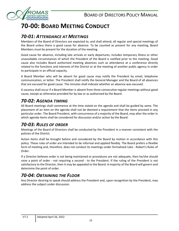

## <span id="page-16-0"></span>**70-00: BOARD MEETING CONDUCT**

#### <span id="page-16-1"></span>*70-01: ATTENDANCE AT MEETINGS*

Members of the Board of Directors are expected to, and shall attend, all regular and special meetings of the Board unless there is good cause for absence. To be counted as present for any meeting, Board Members must be present for the duration of the meeting.

Good cause for absence, including late arrivals or early departures, includes temporary illness or other unavoidable circumstances of which the President of the Board is notified prior to the meeting. Good cause also includes Board authorized meeting absences such as attendance at a conference directly related to the functions and interests of the District or at the meeting of another public agency in order to participate in an official capacity.

A Board Member who will be absent for good cause may notify the President by email, telephone communication, or letter. The President shall notify the General Manager and the Board of all absences that are excused for good cause. The minutes shall indicate whether an absence was excused.

A vacancy shall occur if a Board Member is absent from three consecutive regular meetings without good cause, except as otherwise provided for by law or as authorized by the Board.

### <span id="page-16-2"></span>*70-02: AGENDA TIMING*

All Board meetings shall commence at the time stated on the agenda and shall be guided by same. The placement of an item on the agenda shall not be deemed a requirement that the items proceed in any particular order. The Board President, with concurrence of a majority of the Board, may alter the order in which agenda items shall be considered for discussion and/or action by the Board.

#### <span id="page-16-3"></span>*70-03: RULES OF ORDER*

Meetings of the Board of Directors shall be conducted by the President in a manner consistent with the policies of the District.

Action items shall be brought before and considered by the Board by motion in accordance with this policy. These rules of order are intended to be informal and applied flexibly. The Board prefers a flexible form of meeting and, therefore, does not conduct its meetings under formalized rules - Robert's Rules of Order.

If a Director believes order is not being maintained or procedures are not adequate, then he/she should raise a point of order - not requiring a second - to the President. If the ruling of the President is not satisfactory to the Director, then it may be appealed to the Board. A majority of the Board will govern and determine the point of order.

## <span id="page-16-4"></span>*70-04: OBTAINING THE FLOOR*

Any Director desiring to speak should address the President and, upon recognition by the President, may address the subject under discussion.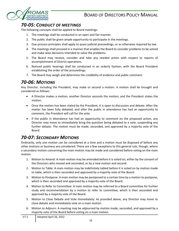

#### <span id="page-17-0"></span>*70-05: CONDUCT OF MEETINGS*

The following concepts shall be applied to Board meetings:

- 1. The meetings shall be conducted in an open and fair manner.
- 2. The public shall be given ample opportunity to participate in the meetings.
- 3. Due process principles shall apply to quasi-judicial proceedings, or as otherwise required by law.
- 4. The meetings shall proceed in a manner that enables the Board to consider problems to be solved and make wise decisions intended to solve the problems.
- 5. The Board may receive, consider and take any needed action with respect to reports of accomplishment of District operations.
- 6. Noticed public hearings shall be conducted in an orderly fashion, with the Board President establishing the order of the proceedings.
- 7. The Board may weigh and determine the credibility of evidence and public comment.

### <span id="page-17-1"></span>*70-06: MOTIONS*

Any Director, including the President, may make or second a motion. A motion shall be brought and considered as follows:

- A Director makes a motion; another Director seconds the motion; and the President states the motion.
- Once the motion has been stated by the President, it is open to discussion and debate. After the matter has been fully debated, and after the public in attendance has had an opportunity to comment, the President will call for the vote.
- If the public in attendance has had an opportunity to comment on the proposed action, any Director may move to immediately bring the question being debated to a vote, suspending any further debate. The motion must be made, seconded, and approved by a majority vote of the Board.

## <span id="page-17-2"></span>*70-07: SECONDARY MOTIONS*

Ordinarily, only one motion can be considered at a time and a motion must be disposed of before any other motions or business are considered. There are a few exceptions to this general rule, though, where a secondary motion concerning the main motion may be made and considered before voting on the main motion.

- 1. Motion to Amend: A main motion may be amended before it is voted on, either by the consent of the Directors who moved and seconded, or by a new motion and second.
- 2. Motion to Table: A main motion may be indefinitely tabled before it is voted on by motion made to table, which is then seconded and approved by a majority vote of the Board.
- 3. Motion to Postpone: A main motion may be postponed to a certain time by a motion to postpone, which is then seconded and approved by a majority vote of the Board.
- 4. Motion to Refer to Committee: A main motion may be referred to a Board committee for further study and recommendation by a motion to refer to committee, which is then seconded and approved by a majority vote of the Board.
- 5. Motion to Close Debate and Vote Immediately: As provided above, any Director may move to close debate and immediately vote on a main motion.
- 6. Motion to Adjourn: A meeting may be adjourned by motion made, seconded, and approved by a majority vote of the Board before voting on a main motion.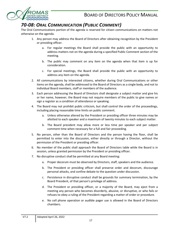



## <span id="page-18-0"></span>*70-08: ORAL COMMUNICATION (PUBLIC COMMENT)*

The Oral Communications portion of the agenda is reserved for citizen communications on matters not otherwise on the agenda.

- 1. Any person may address the Board of Directors after obtaining recognition by the President or presiding officer.
	- a. For regular meetings the Board shall provide the public with an opportunity to address matters not on the agenda during a specified Public Comment section of the meeting.
	- b. The public may comment on any item on the agenda when that item is up for consideration.
	- c. For special meetings, the Board shall provide the public with an opportunity to address any item on the agenda.
- 2. All communications by interested citizens, whether during Oral Communications or other items on the agenda, shall be addressed to the Board of Directors as a single body, and not to individual Board members, staff or members of the audience.
- 3. Each person addressing the Board of Directors shall designate a subject matter and give his or her name, however, the Board may not require members of the public to give names or sign a register as a condition of attendance or speaking.
- 4. The Board may not prohibit public criticism, but shall control the order of the proceedings, including placing reasonable time limits on public comment.
	- a. Unless otherwise altered by the President or presiding officer three minutes may be allotted to each speaker and a maximum of twenty minutes to each subject matter.
	- b. The Board president may allow more or less time per speaker and per subject comment time when necessary for a full and fair proceeding.
- 5. No person, other than the Board of Directors and the person having the floor, shall be permitted to enter into the discussion, either directly or through a Director, without the permission of the President or presiding officer.
- 6. No member of the public shall approach the Board of Directors table while the Board is in session, unless granted permission by the President or presiding officer.
- 7. No disruptive conduct shall be permitted at any Board meeting:
	- a. Proper decorum must be observed by Directors, staff, speakers and the audience.
	- b. The President or presiding officer shall preserve order and decorum, discourage personal attacks, and confine debate to the question under discussion.
	- c. Persistence in disruptive conduct shall be grounds for summary termination, by the Board President, of that person's privilege of address.
	- d. The President or presiding officer, or a majority of the Board, may eject from a meeting any person who becomes disorderly, abusive, or disruptive, or who fails or refuses to obey a ruling of the President regarding a matter of order or procedure.
	- e. No cell phone operation or audible pager use is allowed in the Board of Directors chambers.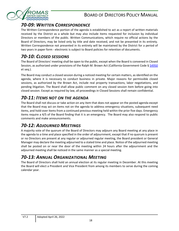

### <span id="page-19-0"></span>*70-09: WRITTEN CORRESPONDENCE*

The Written Correspondence portion of the agenda is established to act as a report of written materials received by the District as a whole but may also include items requested for inclusion by individual Directors or members of the public. Written Communications, which require no official actions by the Board of Directors, may be listed only by title and date received, and not be presented in its entirety. Written Correspondence not presented in its entirety will be maintained by the District for a period of two years in paper form - electronic is subject to Board policies for retention of documents.

## <span id="page-19-1"></span>*70-10: CLOSED SESSIONS*

The Board of Directors' meeting shall be open to the public, except when the Board is convened in Closed Session, as authorized under provisions of the Ralph M. Brown Act (California Government Code § [54950](http://leginfo.legislature.ca.gov/faces/codes_displaySection.xhtml?lawCode=GOV§ionNum=54950.) et seq.).

The Board may conduct a closed session during a noticed meeting for certain matters, as identified on the agenda, where it is necessary to conduct business in private. Major reasons for permissible closed sessions, as authorized by the Brown Act, include real property transactions, labor negotiations, and pending litigation. The Board shall allow public comment on any closed session item before going into closed session. Except as required by law, all proceedings in Closed Sessions shall remain confidential.

### <span id="page-19-2"></span>*70-11: ITEMS NOT ON THE AGENDA*

The Board shall not discuss or take action on any item that does not appear on the posted agenda except that the Board may act on items not on the agenda to address emergency situations, subsequent need items, and hold-over items from a continued previous meeting held within the prior five days. Emergency items require a 4/5 of the Board finding that it is an emergency. The Board may also respond to public comments and make announcements.

### <span id="page-19-3"></span>*70-12: ADJOURNED MEETINGS*

A majority vote of the quorum of the Board of Directors may adjourn any Board meeting at any place in the agenda to a time and place specified in the order of adjournment, except that if no quorum is present or no Directors are present at any regular or adjourned regular meeting, the Board president or General Manager may declare the meeting adjourned to a stated time and place. Notice of the adjourned meeting shall be posted on or near the door of the meeting within 24 hours after the adjournment and the adjourned meeting shall be noticed in the same manner as a special meeting.

## <span id="page-19-4"></span>*70-13: ANNUAL ORGANIZATIONAL MEETING*

The Board of Directors shall hold an annual election at its regular meeting in December. At this meeting the Board will elect a President and Vice President from among its members to serve during the coming calendar year.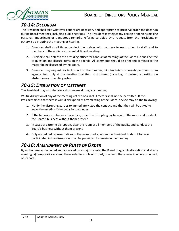

### <span id="page-20-0"></span>*70-14: DECORUM*

The President shall take whatever actions are necessary and appropriate to preserve order and decorum during Board meetings, including public hearings. The President may eject any person or persons making personal, impertinent or slanderous remarks, refusing to abide by a request from the President, or otherwise disrupting the meeting or hearing.

- 1. Directors shall at all times conduct themselves with courtesy to each other, to staff, and to members of the audience present at Board meetings.
- 2. Directors shall defer to the presiding officer for conduct of meetings of the Board but shall be free to question and discuss items on the agenda. All comments should be brief and confined to the matter being discussed by the Board.
- 3. Directors may request for inclusion into the meeting minutes brief comments pertinent to an agenda item only at the meeting that item is discussed (including, if desired, a position on abstention or dissenting vote).

### <span id="page-20-1"></span>*70-15: DISRUPTION OF MEETINGS*

The President may also declare a short recess during any meeting.

Willful disruption of any of the meetings of the Board of Directors shall not be permitted. If the President finds that there is willful disruption of any meeting of the Board, he/she may do the following:

- 1. Notify the disrupting parties to immediately stop the conduct and that they will be asked to leave the meeting if the behavior continues.
- 2. If the behavior continues after notice, order the disrupting parties out of the room and conduct the Board's business without them present.
- 3. In cases of extreme disruption, clear the room of all members of the public, and conduct the Board's business without them present.
- 4. Duly accredited representatives of the news media, whom the President finds not to have participated in the disruption, shall be permitted to remain in the meeting.

## <span id="page-20-2"></span>*70-16: AMENDMENT OF RULES OF ORDER*

By motion made, seconded and approved by a majority vote, the Board may, at its discretion and at any meeting: a) temporarily suspend these rules in whole or in part; b) amend these rules in whole or in part; or, c) both.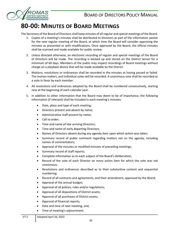

## <span id="page-21-0"></span>**80-00: MINUTES OF BOARD MEETINGS**

The Secretary of the Board of Directors shall keep minutes of all regular and special meetings of the Board.

- 1. Copies of a meeting's minutes shall be distributed to Directors as part of the information packet for the next regular meeting of the Board, at which time the Board will consider approving the minutes as presented or with modifications. Once approved by the Board, the official minutes shall be scanned and made available for public review.
- 2. Unless directed otherwise, an electronic recording of regular and special meetings of the Board of Directors will be made. The recording is backed up and stored on the District Server for a minimum of 60 days. Members of the public may inspect recordings of Board meetings without charge on a playback device that will be made available by the District.
- 3. Motions, resolutions or ordinances shall be recorded in the minutes as having passed or failed. The motion makers, and individual votes will be recorded. A unanimous vote shall be recorded as a vote in favor by each member.
- 4. All resolutions and ordinances adopted by the Board shall be numbered consecutively, starting new at the beginning of each calendar year.
- 5. In addition to other information that the Board may deem to be of importance, the following information (if relevant) shall be included in each meeting's minutes:
	- Date, place and type of each meeting;
	- Directors present and absent by name;
	- Administrative staff present by name;
	- Call to order;
	- Time and name of late arriving Directors;
	- Time and name of early departing Directors;
	- Names of Directors absent during any agenda item upon which action was taken;
	- Summary record of public comment regarding matters not on the agenda, including names of commentators;
	- Approval of the minutes or modified minutes of preceding meetings;
	- Summary record of staff reports;
	- Complete information as to each subject of the Board's deliberation;
	- Record of the vote of each Director on every action item for which the vote was not unanimous;
	- Resolutions and ordinances described as to their substantive content and sequential numbering;
	- Record of all contracts and agreements, and their amendment, approved by the Board;
	- Approval of the annual budget;
	- Approval of all polices, rules and/or regulations;
	- Approval of all dispositions of District assets;
	- Approval of all purchases of District assets;
	- Approval of financial reports;
	- Date and time of next meeting; and,
	- Time of meeting's adjournment.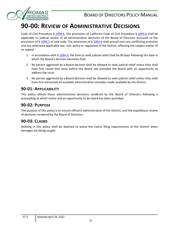

## <span id="page-22-0"></span>**90-00: REVIEW OF ADMINISTRATIVE DECISIONS**

Code of Civil Procedure § [1094.6.](https://leginfo.legislature.ca.gov/faces/codes_displaySection.xhtml?lawCode=CCP§ionNum=1094.6) The provisions of California Code of Civil Procedure § [1094.6](https://leginfo.legislature.ca.gov/faces/codes_displaySection.xhtml?lawCode=CCP§ionNum=1094.6) shall be applicable to judicial review of all administrative decisions of the Board of Directors pursuant to the provisions of § [1094.5](https://leginfo.legislature.ca.gov/faces/codes_displaySection.xhtml?lawCode=CCP§ionNum=1094.5) of said code. The provisions of § [1094.6](https://leginfo.legislature.ca.gov/faces/codes_displaySection.xhtml?lawCode=CCP§ionNum=1094.6) shall prevail over any conflicting provision and any otherwise applicable law, rule, policy or regulation of the District, affecting the subject matter of an appeal.

- 1. In accordance with § [1094.6,](https://leginfo.legislature.ca.gov/faces/codes_displaySection.xhtml?lawCode=CCP§ionNum=1094.6) the time to seek judicial relief shall be 90 days following the date in which the Board's decision becomes final.
- 2. No person aggrieved by a Board decision shall be allowed to seek judicial relief unless they shall have first raised that issue before the Board and provided the Board with an opportunity to address the issue.
- 3. No person aggrieved by a Board decision shall be allowed to seek judicial relief unless they shall have first exhausted all available administrative remedies made available by the District.

#### **90-01: APPLICABILITY**

This policy affects those administrative decisions rendered by the Board of Directors following a proceeding at which notice and an opportunity to be heard has been provided.

#### **90-02: PURPOSE**

The purpose of this policy is to ensure efficient administration of the District, and the expeditious review of decisions rendered by the Board of Directors.

#### **90-03: CLAIMS**

Nothing in this policy shall be deemed to waive the claims filing requirements of the District when damages are being sought.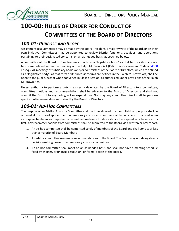

## <span id="page-23-0"></span>**100-00: RULES OF ORDER FOR CONDUCT OF COMMITTEES OF THE BOARD OF DIRECTORS**

### <span id="page-23-1"></span>*100-01: PURPOSE AND SCOPE*

Assignment to a Committee may be made by the Board President, a majority vote of the Board, or on their own initiative. Committees may be appointed to review District functions, activities, and operations pertaining to their designated concerns, on an as needed basis, as specified below.

A committee of the Board of Directors may qualify as a "legislative body" as that term or its successor terms are defined within the meaning of the Ralph M. Brown Act (California Government Code § [54950](http://leginfo.legislature.ca.gov/faces/codes_displayText.xhtml?division=2.&chapter=9.&part=1.&lawCode=GOV&title=5.) et seq.). All meetings of subsidiary bodies and/or committees of the Board of Directors, which are defined as a "legislative body", as that term or its successor terms are defined in the Ralph M. Brown Act, shall be open to the public, except when convened in Closed Session, as authorized under provisions of the Ralph M. Brown Act.

Unless authority to perform a duty is expressly delegated by the Board of Directors to a committee, committee motions and recommendations shall be advisory to the Board of Directors and shall not commit the District to any policy, act or expenditure. Nor may any committee direct staff to perform specific duties unless duly authorized by the Board of Directors.

## <span id="page-23-2"></span>*100-02: AD-HOC COMMITTEES*

The purpose of an Ad-Hoc Advisory Committee and the time allowed to accomplish that purpose shall be outlined at the time of appointment. A temporary advisory committee shall be considered dissolved when its purpose has been accomplished or when the timeframe for its existence has expired, whichever occurs first. Any recommendations from committees shall be submitted to the Board via a written or oral report.

- 1. An ad-hoc committee shall be comprised solely of members of the Board and shall consist of less than a majority of Board Members.
- 2. An ad-hoc committee may make recommendations to the Board. The Board may not delegate any decision-making power to a temporary advisory committee.
- 3. An ad-hoc committee shall meet on an as needed basis and shall not have a meeting schedule fixed by charter, ordinance, resolution, or formal action of the Board.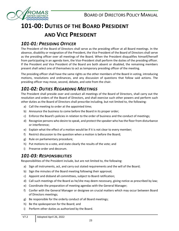

## <span id="page-24-0"></span>**101-00: DUTIES OF THE BOARD PRESIDENT AND VICE PRESIDENT**

### <span id="page-24-1"></span>*101-01: PRESIDING OFFICER*

The President of the Board of Directors shall serve as the presiding officer at all Board meetings. In the absence, disability or resignation of the President, the Vice President of the Board of Directors shall serve as the presiding officer over all meetings of the Board. When the President disqualifies himself/herself from participating in an agenda item, the Vice-President shall perform the duties of the presiding officer. If the President and Vice President of the Board are both absent or disabled, the remaining members present shall select one of themselves to act as temporary presiding officer of the meeting.

The presiding officer shall have the same rights as the other members of the Board in voting, introducing motions, resolutions and ordinances, and any discussion of questions that follow said actions. The presiding officer may move, second, debate, and vote from the chair.

## <span id="page-24-2"></span>*101-02: DUTIES REGARDING MEETINGS*

The President shall preside over and conduct all meetings of the Board of Directors, shall carry out the resolution and orders of the Board of Directors, and shall exercise such other powers and perform such other duties as the Board of Directors shall prescribe including, but not limited to, the following:

- a) Call the meeting to order at the appointed time;
- b) Announce the business to come before the Board in its proper order;
- c) Enforce the Board's policies in relation to the order of business and the conduct of meetings;
- d) Recognize persons who desire to speak, and protect the speaker who has the floor from disturbance or interference;
- e) Explain what the effect of a motion would be if it is not clear to every member;
- f) Restrict discussion to the question when a motion is before the Board;
- g) Rule on parliamentary procedure;
- h) Put motions to a vote, and state clearly the results of the vote; and
- i) Preserve order and decorum.

## <span id="page-24-3"></span>*101-03: RESPONSIBILITIES*

Responsibilities of the President include, but are not limited to, the following:

- a) Sign all instruments, act, and carry out stated requirements and the will of the Board;
- b) Sign the minutes of the Board meeting following their approval;
- c) Appoint and disband all committees, subject to Board ratification;
- d) Call such meetings of the Board as he/she may deem necessary, giving notice as prescribed by law;
- e) Coordinate the preparation of meeting agendas with the General Manager;
- f) Confer with the General Manager or designee on crucial matters which may occur between Board of Directors meetings;
- g) Be responsible for the orderly conduct of all Board meetings;
- h) Be the spokesperson for the Board; and
- i) Perform other duties as authorized by the Board.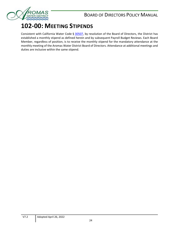

## <span id="page-25-0"></span>**102-00: MEETING STIPENDS**

Consistent with California Water Code § [30507,](https://leginfo.legislature.ca.gov/faces/codes_displaySection.xhtml?sectionNum=30507.&lawCode=WAT) by resolution of the Board of Directors, the District has established a monthly stipend as defined herein and by subsequent Payroll Budget Reviews. Each Board Member, regardless of position, is to receive the monthly stipend for the mandatory attendance at the monthly meeting of the Aromas Water District Board of Directors. Attendance at additional meetings and duties are inclusive within the same stipend.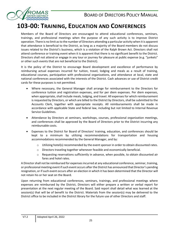

## <span id="page-26-0"></span>**103-00: TRAINING, EDUCATION AND CONFERENCES**

Members of the Board of Directors are encouraged to attend educational conferences, seminars, trainings, and professional meetings when the purpose of any such activity is to improve District operation. There is no limit as to the number of Directors attending a particular activity when it is apparent that attendance is beneficial to the District, as long as a majority of the Board members do not discuss issues related to the District's business, which is a violation of the Ralph Brown Act. Directors shall not attend conference or training event when it is apparent that there is no significant benefit to the District. Directors shall not attend or engage in any tour or journey for pleasure at public expense (e.g. "junkets" or other such events that are not beneficial to the District).

It is the policy of the District to encourage Board development and excellence of performance by reimbursing actual expenses incurred for tuition, travel, lodging and meals as a result of training, educational courses, participation with professional organizations, and attendance at local, state and national conferences associated with the interests of the District. Cash advances or use of District credit cards for these purposes is not permitted*.*

- Where necessary, the General Manager shall arrange for reimbursement to the Directors for conference tuition and registration expenses, and for per diem expenses. Per diem expenses, when appropriate, shall include meals, lodging, and travel. All expenses for which reimbursement is requested by Directors, or which are billed to the District by Directors, shall be submitted to the Accounts Clerk, together with appropriate receipts. All reimbursements shall be made in accordance with applicable State and federal law, including but not limited to Internal Revenue Service Guidelines.
- Attendance by Directors at seminars, workshops, courses, professional organization meetings, and conferences shall be approved by the Board of Directors prior to the District incurring any reimbursable costs.
- Expenses to the District for Board of Directors' training, education, and conferences should be kept to a minimum by utilizing recommendations for transportation and housing accommodations recommended by the General Manager, and by:
	- $\circ$  Utilizing hotel(s) recommended by the event sponsor in order to obtain discounted rates.
	- o Directors traveling together whenever feasible and economically beneficial.
	- $\circ$  Requesting reservations sufficiently in advance, when possible, to obtain discounted air fares and hotel rates.

A Director shall not be reimbursed for expenses incurred at any educational conference, seminar, training, or professional meeting event if such event occurs after the District has announced that Director's pending resignation, or if such event occurs after an election in which it has been determined that the Director will not retain his or her seat on the Board.

Upon returning from educational conferences, seminars, trainings, and professional meetings where expenses are reimbursed by the District, Directors will either prepare a written or verbal report for presentation at the next regular meeting of the Board. Said report shall detail what was learned at the session(s) that will be of benefit to the District. Materials from the session(s) may be delivered to the District office to be included in the District library for the future use of other Directors and staff.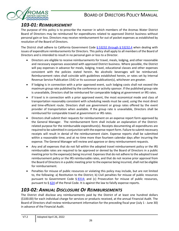

### <span id="page-27-0"></span>*103-01: REIMBURSEMENT*

The purpose of this policy is to prescribe the manner in which members of the Aromas Water District Board of Directors may be reimbursed for expenditures related to approved District business without personal gain or loss. Directors may receive reimbursement for out of pocket expenses as established by resolution of the Board of Directors.

The District shall adhere to California Government Code  $\S$  [53232 through §](https://leginfo.legislature.ca.gov/faces/codes_displayText.xhtml?lawCode=GOV&division=2.&title=5.&part=1.&chapter=2.&article=2.3.) 53232.4 when dealing with issues of expenditure reimbursements for Directors. This policy shall apply to all members of the Board of Directors and is intended to result in no personal gain or loss to a Director.

- Directors are eligible to receive reimbursements for travel, meals, lodging, and other reasonable and necessary expenses associated with approved District business. Where possible, the District will pay expenses in advance for meals, lodging, travel, educational classes and other expenses consistent with the policies stated herein. No alcoholic beverages will be reimbursed. Reimbursement rates shall coincide with guidelines established herein, or rates set by Internal Revenue Service Publication 1542 or its successor publication(s), whichever are greater.
- If lodging is in connection with a prior approved event, such lodging costs shall not exceed the maximum group rate published by the conference or activity sponsor. If the published group rate is unavailable, Directors shall be reimbursed for comparable lodging at government or IRS rates.
- If travel is in connection with a prior approved event, the most economical mode and class of transportation reasonably consistent with scheduling needs must be used, using the most direct and time-efficient route. Directors shall use government or group rates offered by the event provider of transportation when available. If the group rate is unavailable, Directors shall be reimbursed for comparable travel at government or IRS rates.
- Directors shall submit their requests for reimbursement on an expense report form approved by the General Manager. The reimbursement form shall include an explanation of the Districtrelated purpose for the reimbursable expenditure(s). Receipts documenting all expenditures are required to be submitted in conjunction with the expense report form. Failure to submit necessary receipts will result in denial of the reimbursement claim. Expense reports shall be submitted within a reasonable time, and at no time more than fourteen calendar days after incurring the expense. The General Manager will review and approve or deny reimbursement requests.
- Any and all expenses that do not fall within the adopted travel reimbursement policy or the IRS reimbursable rates are required to be approved or denied by the Board of Directors in a public meeting prior to the expense(s) being incurred. Expenses that do not adhere to the adopted travel reimbursement policy or the IRS reimbursable rates, and that do not receive prior approval from the Board of Directors in a public meeting prior to the expense being incurred, shall not be eligible for reimbursement.
- Penalties for misuse of public resources or violating this policy may include, but are not limited to, the following: a) Restitution to the District; b) Civil penalties for misuse of public resources pursuant to Government Code  $\S$  [8314;](http://leginfo.legislature.ca.gov/faces/codes_displaySection.xhtml?lawCode=GOV§ionNum=8314.) and (c) Prosecution for misuse of public resources, pursuant to § [424](http://leginfo.legislature.ca.gov/faces/codes_displaySection.xhtml?sectionNum=424.&lawCode=PEN) of the Penal Code. It is against the law to falsify expense reports.

## <span id="page-27-1"></span>*103-02: ANNUAL DISCLOSURE OF REIMBURSEMENTS*

The District shall disclose any reimbursements paid by the District of at least one hundred dollars (\$100.00) for each individual charge for services or products received, at the annual Financial Audit. The Board of Directors shall review reimbursement information for the preceding fiscal year (July 1 - June 30) in advance of the Financial Audit.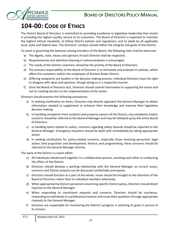

## <span id="page-28-0"></span>**104-00: CODE OF ETHICS**

The District Board of Directors is committed to providing excellence in legislative leadership that results in providing the highest quality service to its customers. The Board of Directors is expected to maintain the highest ethical standards, to follow District policies and regulations, and to abide by all applicable local, state and federal laws. The Directors' conduct should reflect the integrity and goals of the District.

To assist in governing the behavior among members of the Board, the following rules shall be observed:

- a) The dignity, style, values and opinions of each Director shall be respected.
- b) Responsiveness and attentive listening in communications is encouraged.
- c) The needs of the District customers should be the priority of the Board of Directors.
- d) The primary responsibility of the Board of Directors is to formulate and evaluate its policies, which affect the customers and/or the employees of Aromas Water District.
- e) Differing viewpoints are healthy in the decision-making process. Individual Directors have the right to disagree with ideas and opinions, though doing so in a respectful manner.
- f) Once the Board of Directors acts, Directors should commit themselves to supporting the action and not to creating barriers to the implementation of the action.

Directors should practice the following procedures:

- a) In seeking clarification on items, Directors may directly approach the General Manager to obtain information needed to supplement or enhance their knowledge and improve their legislative decision making.
- b) In handling complaints from residents and property owners of the District, any complaints and/or concerns should be referred to the General Manager and may be followed up by the entire Board of Directors.
- c) In handling items related to safety, concerns regarding safety hazards should be reported to the General Manager. Emergency situations should be dealt with immediately by taking appropriate action.
- d) In seeking clarification for policy-related concerns, especially those involving personnel, legal action, land acquisition and development, finance, and programming, these concerns should be referred to the General Manager directly.

The work of the District is a team effort:

- a) All individuals should work together in a collaborative process, assisting each other in conducting the affairs of the District.
- b) Directors should develop a working relationship with the General Manager so current issues, concerns and District projects can be discussed comfortably and openly.
- c) Directors should function as a part of the whole; issues should be brought to the attention of the Board of Directors rather than to individual members selectively.
- d) When approached by District personnel concerning specific District policy, Directors should direct inquiries to the General Manager.
- e) When responding to constituent requests and concerns, Directors should be courteous, responding to individuals in a professional manner and route their questions through appropriate channels to the General Manager.
- f) Directors are responsible for monitoring the District's progress in attaining its goals in pursuit of its mission.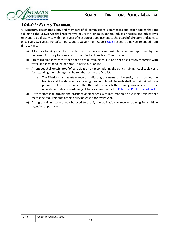



### <span id="page-29-0"></span>*104-01: ETHICS TRAINING*

All Directors, designated staff, and members of all commissions, committees and other bodies that are subject to the Brown Act shall receive two hours of training in general ethics principles and ethics laws relevant to public service within one year of election or appointment to the board of directors and at least once every two years thereafter, pursuant to Government Code § [53234](http://leginfo.legislature.ca.gov/faces/codes_displaySection.xhtml?lawCode=GOV§ionNum=53234.&article=2.4.&highlight=true&keyword=Ethics) et seq. as may be amended from time to time.

- a) All ethics training shall be provided by providers whose curricula have been approved by the California Attorney General and the Fair Political Practices Commission.
- b) Ethics training may consist of either a group training course or a set of self-study materials with tests, and may be taken at home, in person, or online.
- c) Attendees shall obtain proof of participation after completing the ethics training. Applicable costs for attending the training shall be reimbursed by the District.
	- a. The District shall maintain records indicating the name of the entity that provided the training and the dates ethics training was completed. Records shall be maintained for a period of at least five years after the date on which the training was received. These records are public records subject to disclosure under th[e California Public Records Act.](https://leginfo.legislature.ca.gov/faces/codes_displayText.xhtml?division=7.&chapter=3.5.&lawCode=GOV&title=1.&article=1.)
- d) District staff shall provide the prospective attendees with information on available training that meets the requirements of this policy at least once every year.
- e) A single training course may be used to satisfy the obligation to receive training for multiple agencies or positions.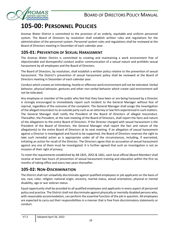

## <span id="page-30-0"></span>**105-00: PERSONNEL POLICIES**

Aromas Water District is committed to the provision of an orderly, equitable and uniform personnel system. The Board of Directors by resolution shall establish written rules and regulations for the administration of the personnel system. Personnel system rules and regulations shall be reviewed at the Board of Directors meeting in December of each calendar year.

#### **105-01: PREVENTION OF SEXUAL HARASSMENT**

The Aromas Water District is committed to creating and maintaining a work environment free of objectionable and disrespectful conduct and/or communication of a sexual nature and prohibits sexual harassment by all employees and the Board of Directors.

The Board of Directors, by resolution, shall establish a written policy relative to the prevention of sexual harassment. The District's prevention of sexual harassment policy shall be reviewed at the Board of Directors meeting in December of each calendar year.

Conduct which creates an intimidating, hostile or offensive work environment will not be tolerated. Verbal behavior, physical behavior, gestures and other non-verbal behavior which create said environment will not be tolerated.

Any employee or member of the public who feel that they have been or are being harassed by a Director is strongly encouraged to immediately report such incident to the General Manager without fear of reprisal, regardless of the outcome of the complaint. The General Manager shall assign the investigation of the alleged misconduct to an outside party such as an attorney or law firm experienced in such matters. The General Manager shall notify the President of the Board of Directors of alleged misconduct. Thereafter, the President, at the next meeting of the Board of Directors, shall report the facts and nature of the allegations to the entire Board of Directors. If the Director charged with sexual harassment is the President of the Board of Directors, the General Manager shall report the fact and nature of the allegation(s) to the entire Board of Directors at its next meeting. If an allegation of sexual harassment against a Director is investigated and found to be supported, the Board of Directors reserves the right to take such remedial action as is appropriate under all of the circumstances, including, if warranted, initiating an action for recall of the Director. The Directors agree that an accusation of sexual harassment against any one of them must be investigated. It is further agreed that such an investigation is not an invasion of their right of privacy.

To meet the requirements established by AB 1825, 2053 & 1661, each local official (Board Member) shall receive at least two hours of prevention of sexual harassment training and education within the first six months of taking office and every two years thereafter.

#### **105-02: NON-DISCRIMINATION**

The District shall not unlawfully discriminate against qualified employees or job applicants on the basis of sex, race, color, religion, national origin, ancestry, marital status, sexual orientation, physical or mental disability, age or war veteran status.

Equal opportunity shall be provided to all qualified employees and applicants in every aspect of personnel policy and practice. The District shall not discriminate against physically or mentally disabled persons who, with reasonable accommodation, can perform the essential function of the job in question. All employees are expected to carry out their responsibilities in a manner that is free from discriminatory statements or conduct.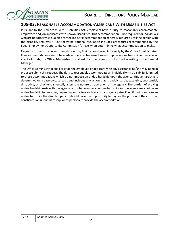

#### **105-03: REASONABLE ACCOMMODATION-AMERICANS WITH DISABILITIES ACT**

Pursuant to the Americans with Disabilities Act, employers have a duty to reasonably accommodate employees and job applicants with known disabilities. This accommodation is not required for individuals who are not otherwise qualified for the job nor is accommodation generally required until the person with the disability requests it. The following optional regulation includes procedures recommended by the Equal Employment Opportunity Commission for use when determining what accommodation to make.

Requests for reasonable accommodation may first be considered informally by the Office Administrator. If an accommodation cannot be made at the sites because it would impose undue hardship or because of a lack of funds, the Office Administrator shall ask that the request is submitted in writing to the General Manager.

The Office Administrator shall provide the employee or applicant with any assistance he/she may need in order to submit this request. The duty to reasonably accommodate an individual with a disability is limited to those accommodations which do not impose an undue hardship upon the agency. Undue hardship is determined on a case-by-case basis and includes any action that is unduly costly, extensive, substantial, disruptive, or that fundamentally alters the nature or operation of the agency. The burden of proving undue hardship rests with the agency, and what may be an undue hardship for one agency may not be an undue hardship for another, depending on factors such as cost and agency size. Even if cost does pose an undue hardship, the disabled person should have the opportunity to pay for the portion of the cost that constitutes an undue hardship, or to personally provide the accommodation.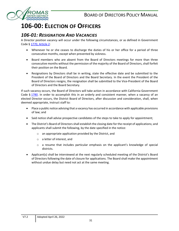

## <span id="page-32-0"></span>**106-00: ELECTION OF OFFICERS**

#### <span id="page-32-1"></span>*106-01: RESIGNATION AND VACANCIES*

A Director position vacancy will occur under the following circumstances, or as defined in Government Code § [1770, Article 2:](https://leginfo.legislature.ca.gov/faces/codes_displaySection.xhtml?lawCode=GOV§ionNum=1770)

- Whenever he or she ceases to discharge the duties of his or her office for a period of three consecutive months, except when prevented by sickness.
- Board members who are absent from the Board of Directors meetings for more than three consecutive months without the permission of the majority of the Board of Directors, shall forfeit their position on the Board.
- Resignations by Directors shall be in writing, state the effective date and be submitted to the President of the Board of Directors and the Board Secretary. In the event the President of the Board of Directors resigns, the resignation shall be submitted to the Vice-President of the Board of Directors and the Board Secretary.

If such vacancy occurs, the Board of Directors will take action in accordance with California Government Code §  $1780$ . In order to accomplish this in an orderly and consistent manner, when a vacancy of an elected Director occurs, the District Board of Directors, after discussion and consideration, shall, when deemed appropriate, instruct staff to:

- Place a public notice advising that a vacancy has occurred in accordance with applicable provisions of law; and
- Said notice shall advise prospective candidates of the steps to take to apply for appointment;
- The District's Board of Directors shall establish the closing date for the receipt of applications; and applicants shall submit the following, by the date specified in the notice:
	- o an appropriate application provided by the District, and
	- o a letter of interest, and
	- $\circ$  a resume that includes particular emphasis on the applicant's knowledge of special districts.
- Applicant(s) shall be interviewed at the next regularly scheduled meeting of the District's Board of Directors following the date of closure for applications. The Board shall make the appointment without undue delay but need not act at the same meeting.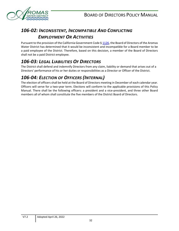

## <span id="page-33-0"></span>*106-02: INCONSISTENT, INCOMPATIBLE AND CONFLICTING EMPLOYMENT OR ACTIVITIES*

Pursuant to the provision of the California Government Code § [1126,](https://leginfo.legislature.ca.gov/faces/codes_displaySection.xhtml?lawCode=GOV§ionNum=1126) the Board of Directors of the Aromas Water District has determined that it would be inconsistent and incompatible for a Board member to be a paid employee of the District. Therefore, based on this decision, a member of the Board of Directors shall not be a paid District employee.

## <span id="page-33-1"></span>*106-03: LEGAL LIABILITIES OF DIRECTORS*

The District shall defend and indemnify Directors from any claim, liability or demand that arises out of a Directors' performance of his or her duties or responsibilities as a Director or Officer of the District.

## <span id="page-33-2"></span>*106-04: ELECTION OF OFFICERS (INTERNAL)*

The election of officers shall be held at the Board of Directors meeting in December of each calendar year. Officers will serve for a two-year term. Elections will conform to the applicable provisions of this Policy Manual. There shall be the following officers: a president and a vice-president, and three other Board members all of whom shall constitute the five members of the District Board of Directors.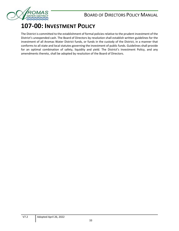

## <span id="page-34-0"></span>**107-00: INVESTMENT POLICY**

The District is committed to the establishment of formal policies relative to the prudent investment of the District's unexpended cash. The Board of Directors by resolution shall establish written guidelines for the investment of all Aromas Water District funds, or funds in the custody of the District, in a manner that conforms to all state and local statutes governing the investment of public funds. Guidelines shall provide for an optimal combination of safety, liquidity and yield. The District's Investment Policy, and any amendments thereto, shall be adopted by resolution of the Board of Directors.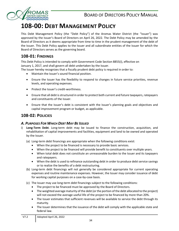



## <span id="page-35-0"></span>**108-00: DEBT MANAGEMENT POLICY**

This Debt Management Policy (the "Debt Policy") of the Aromas Water District (the "Issuer") was approved by the Issuer's Board of Directors on April 26, 2022. The Debt Policy may be amended by the Board of Directors as it deems appropriate from time to time in the prudent management of the debt of the Issuer. This Debt Policy applies to the Issuer and all subordinate entities of the Issuer for which the Board of Directors serves as the governing board.

#### **108-01: FINDINGS**

This Debt Policy is intended to comply with Government Code Section 8855(i), effective on January 1, 2017, and shall govern all debt undertaken by the Issuer.

The Issuer hereby recognizes that a fiscally prudent debt policy is required in order to:

- Maintain the Issuer's sound financial position.
- Ensure the Issuer has the flexibility to respond to changes in future service priorities, revenue levels, and operating expenses.
- Protect the Issuer's credit-worthiness.
- Ensure that all debt is structured in order to protect both current and future taxpayers, ratepayers and constituents of the Issuer.
- Ensure that the Issuer's debt is consistent with the Issuer's planning goals and objectives and capital improvement program or budget, as applicable.

#### **108-02: POLICIES**

#### *A. PURPOSES FOR WHICH DEBT MAY BE ISSUED*

- i) **Long-Term Debt**. Long-term debt may be issued to finance the construction, acquisition, and rehabilitation of capital improvements and facilities, equipment and land to be owned and operated by the Issuer.
	- (a) Long-term debt financings are appropriate when the following conditions exist:
		- When the project to be financed is necessary to provide basic services.
		- When the project to be financed will provide benefit to constituents over multiple years.
		- When total debt does not constitute an unreasonable burden to the Issuer and its taxpayers and ratepayers.
		- When the debt is used to refinance outstanding debt in order to produce debt service savings or to realize the benefits of a debt restructuring.
	- (b) Long-term debt financings will not generally be considered appropriate for current operating expenses and routine maintenance expenses. However, the Issuer may consider issuance of debt for working capital purposes on a case-by-case basis.
	- (c) The Issuer may use long-term debt financings subject to the following conditions:
		- The project to be financed must be approved by the Board of Directors.
		- The weighted average maturity of the debt (or the portion of the debt allocated to the project) will not exceed the average useful life of the project to be financed by more than 20%.
		- The Issuer estimates that sufficient revenues will be available to service the debt through its maturity.
		- The Issuer determines that the issuance of the debt will comply with the applicable state and federal law.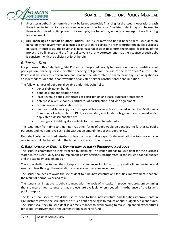

- ii) **Short-term debt.** Short-term debt may be issued to provide financing for the Issuer's operational cash flows in order to maintain a steady and even cash flow balance. Short-term debt may also be used to finance short-lived capital projects; for example, the Issuer may undertake lease-purchase financing for equipment.
- iii) **(iii) Financings on Behalf of Other Entities.** The Issuer may also find it beneficial to issue debt on behalf of other governmental agencies or private third parties in order to further the public purposes of Issuer. In such cases, the Issuer shall take reasonable steps to confirm the financial feasibility of the project to be financed and the financial solvency of any borrower and that the issuance of such debt is consistent with the policies set forth herein.

#### *B. TYPES OF DEBT*

For purposes of this Debt Policy, "debt" shall be interpreted broadly to mean bonds, notes, certificates of participation, financing leases, or other financing obligations. The use of the term "debt" in this Debt Policy shall be solely for convenience and shall not be interpreted to characterize any such obligation as an indebtedness or debt in contravention of any statutory or constitutional debt limitation.

The following types of debt are allowable under this Debt Policy:

- general obligation bonds
- bond or grant anticipation notes
- lease revenue bonds, certificates of participation and lease-purchase transactions
- enterprise revenue bonds, certificates of participation, and loan agreements
- tax and revenue anticipation notes
- land-secured financings, such as special tax revenue bonds issued under the Mello-Roos Community Facilities Act of 1982, as amended, and limited obligation bonds issued under applicable assessment statutes
- other types of debt legally available for the Issuer to enter into

The Issuer may from time to time find that other forms of debt would be beneficial to further its public purposes and may approve such debt without an amendment of this Debt Policy.

Debt shall be issued as fixed rate debt unless the Issuer makes a specific determination as to why a variable rate issue would be beneficial to the Issuer in a specific circumstance.

#### *C. RELATIONSHIP OF DEBT TO CAPITAL IMPROVEMENT PROGRAM AND BUDGET*

The Issuer is committed to long-term capital planning. The Issuer intends to issue debt for the purposes stated in this Debt Policy and to implement policy decisions incorporated in the Issuer's capital budget and the capital improvement plan.

The Issuer shall strive to fund the upkeep and maintenance of its infrastructure and facilities due to normal wear and tear through the expenditure of available operating revenues.

The Issuer shall seek to avoid the use of debt to fund infrastructure and facilities improvements that are the result of normal wear and tear.

The Issuer shall integrate its debt issuances with the goals of its capital improvement program by timing the issuance of debt to ensure that projects are available when needed in furtherance of the Issuer's public purposes.

The Issuer shall seek to avoid the use of debt to fund infrastructure and facilities improvements in circumstances when the sole purpose of such debt financing is to reduce annual budgetary expenditures. The Issuer shall seek to issue debt in a timely manner to avoid having to make unplanned expenditures for capital improvements or equipment from its general fund.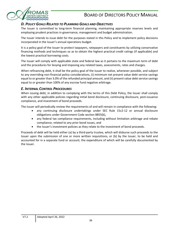



#### *D. POLICY GOALS RELATED TO PLANNING GOALS AND OBJECTIVES*

The Issuer is committed to long-term financial planning, maintaining appropriate reserves levels and employing prudent practices in governance, management and budget administration.

The Issuer intends to issue debt for the purposes stated in this Policy and to implement policy decisions incorporated in the Issuer's annual operations budget.

It is a policy goal of the Issuer to protect taxpayers, ratepayers and constituents by utilizing conservative financing methods and techniques so as to obtain the highest practical credit ratings (if applicable) and the lowest practical borrowing costs.

The Issuer will comply with applicable state and federal law as it pertains to the maximum term of debt and the procedures for levying and imposing any related taxes, assessments, rates and charges.

When refinancing debt, it shall be the policy goal of the Issuer to realize, whenever possible, and subject to any overriding non-financial policy considerations, (i) minimum net present value debt service savings equal to or greater than 3.0% of the refunded principal amount, and (ii) present value debt service savings equal to or greater than 100% of any escrow fund negative arbitrage.

#### *E. INTERNAL CONTROL PROCEDURES*

When issuing debt, in addition to complying with the terms of this Debt Policy, the Issuer shall comply with any other applicable policies regarding initial bond disclosure, continuing disclosure, post-issuance compliance, and investment of bond proceeds.

The Issuer will periodically review the requirements of and will remain in compliance with the following:

- any continuing disclosure undertakings under SEC Rule 15c2-12 or annual disclosure obligations under Government Code section 8855(k),
- any federal tax compliance requirements, including without limitation arbitrage and rebate compliance, related to any prior bond issues, and
- the Issuer's investment policies as they relate to the investment of bond proceeds.

Proceeds of debt will be held either (a) by a third-party trustee, which will disburse such proceeds to the Issuer upon the submission of one or more written requisitions, or (b) by the Issuer, to be held and accounted for in a separate fund or account, the expenditure of which will be carefully documented by the Issuer.